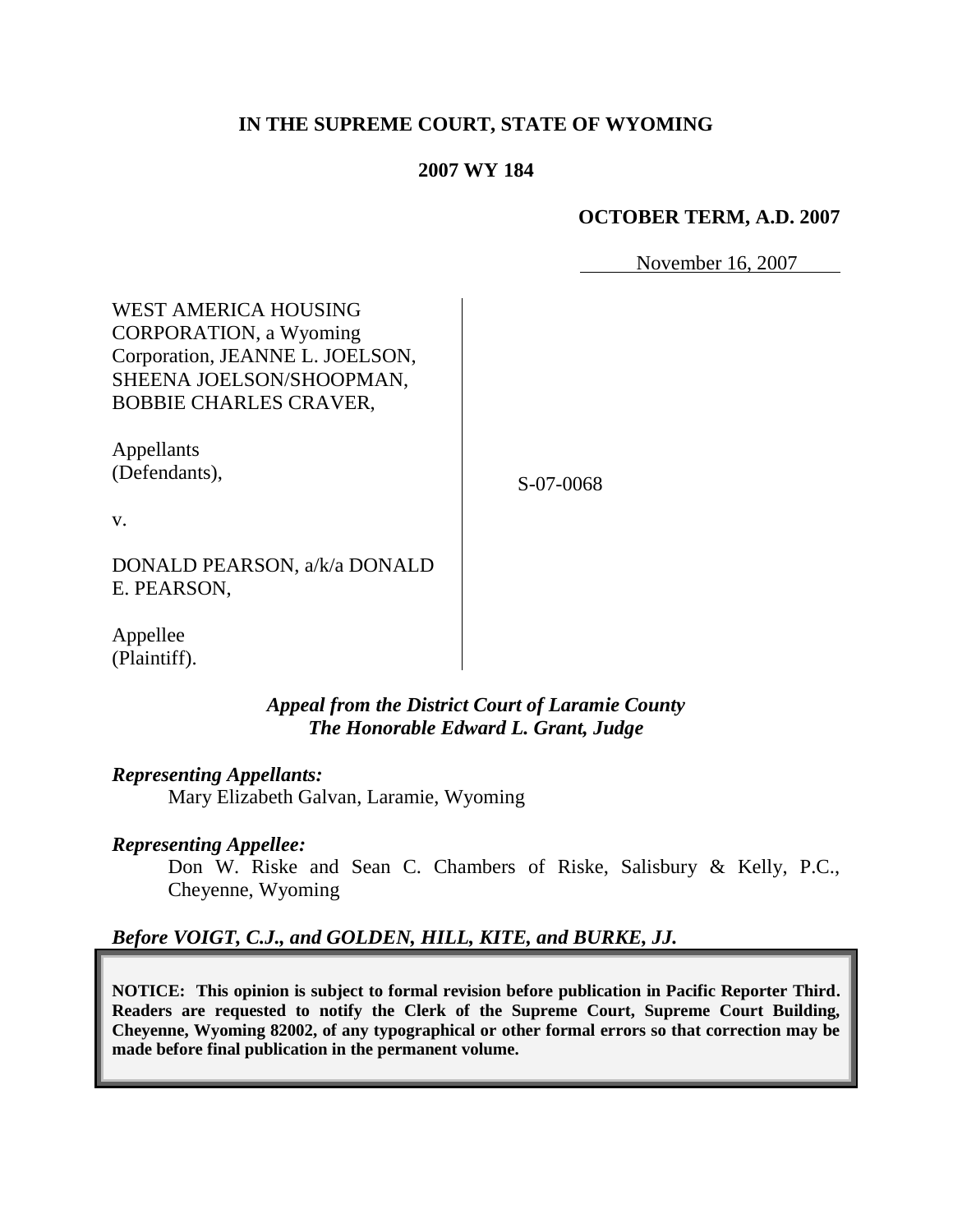# **IN THE SUPREME COURT, STATE OF WYOMING**

### **2007 WY 184**

### **OCTOBER TERM, A.D. 2007**

November 16, 2007

WEST AMERICA HOUSING CORPORATION, a Wyoming Corporation, JEANNE L. JOELSON, SHEENA JOELSON/SHOOPMAN, BOBBIE CHARLES CRAVER,

Appellants (Defendants),

S-07-0068

v.

DONALD PEARSON, a/k/a DONALD E. PEARSON,

Appellee (Plaintiff).

> *Appeal from the District Court of Laramie County The Honorable Edward L. Grant, Judge*

*Representing Appellants:*

Mary Elizabeth Galvan, Laramie, Wyoming

*Representing Appellee:*

Don W. Riske and Sean C. Chambers of Riske, Salisbury & Kelly, P.C., Cheyenne, Wyoming

# *Before VOIGT, C.J., and GOLDEN, HILL, KITE, and BURKE, JJ.*

**NOTICE: This opinion is subject to formal revision before publication in Pacific Reporter Third. Readers are requested to notify the Clerk of the Supreme Court, Supreme Court Building, Cheyenne, Wyoming 82002, of any typographical or other formal errors so that correction may be made before final publication in the permanent volume.**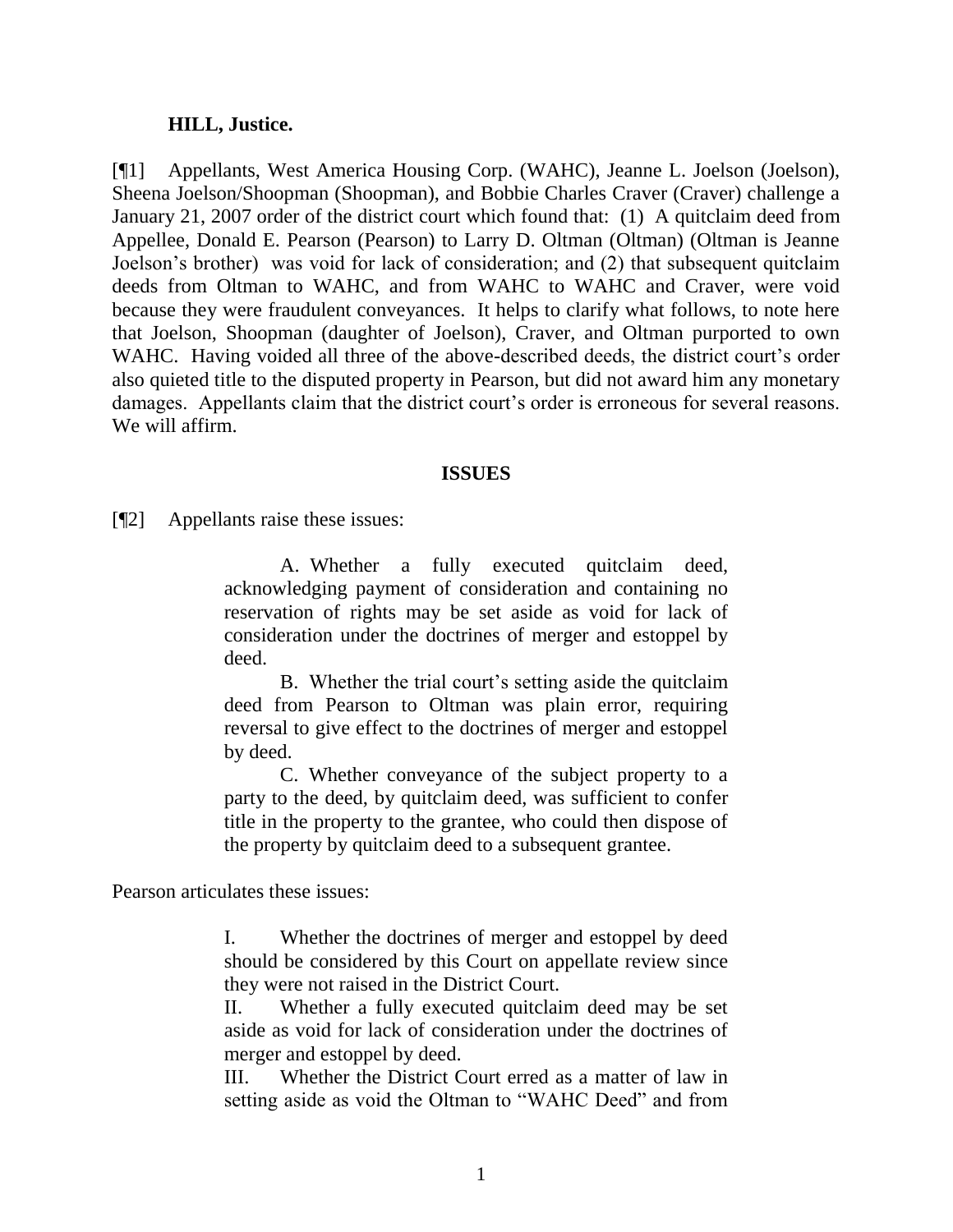#### **HILL, Justice.**

[¶1] Appellants, West America Housing Corp. (WAHC), Jeanne L. Joelson (Joelson), Sheena Joelson/Shoopman (Shoopman), and Bobbie Charles Craver (Craver) challenge a January 21, 2007 order of the district court which found that: (1) A quitclaim deed from Appellee, Donald E. Pearson (Pearson) to Larry D. Oltman (Oltman) (Oltman is Jeanne Joelson's brother) was void for lack of consideration; and (2) that subsequent quitclaim deeds from Oltman to WAHC, and from WAHC to WAHC and Craver, were void because they were fraudulent conveyances. It helps to clarify what follows, to note here that Joelson, Shoopman (daughter of Joelson), Craver, and Oltman purported to own WAHC. Having voided all three of the above-described deeds, the district court's order also quieted title to the disputed property in Pearson, but did not award him any monetary damages. Appellants claim that the district court's order is erroneous for several reasons. We will affirm.

#### **ISSUES**

[¶2] Appellants raise these issues:

A. Whether a fully executed quitclaim deed, acknowledging payment of consideration and containing no reservation of rights may be set aside as void for lack of consideration under the doctrines of merger and estoppel by deed.

B. Whether the trial court's setting aside the quitclaim deed from Pearson to Oltman was plain error, requiring reversal to give effect to the doctrines of merger and estoppel by deed.

C. Whether conveyance of the subject property to a party to the deed, by quitclaim deed, was sufficient to confer title in the property to the grantee, who could then dispose of the property by quitclaim deed to a subsequent grantee.

Pearson articulates these issues:

I. Whether the doctrines of merger and estoppel by deed should be considered by this Court on appellate review since they were not raised in the District Court.

II. Whether a fully executed quitclaim deed may be set aside as void for lack of consideration under the doctrines of merger and estoppel by deed.

III. Whether the District Court erred as a matter of law in setting aside as void the Oltman to "WAHC Deed" and from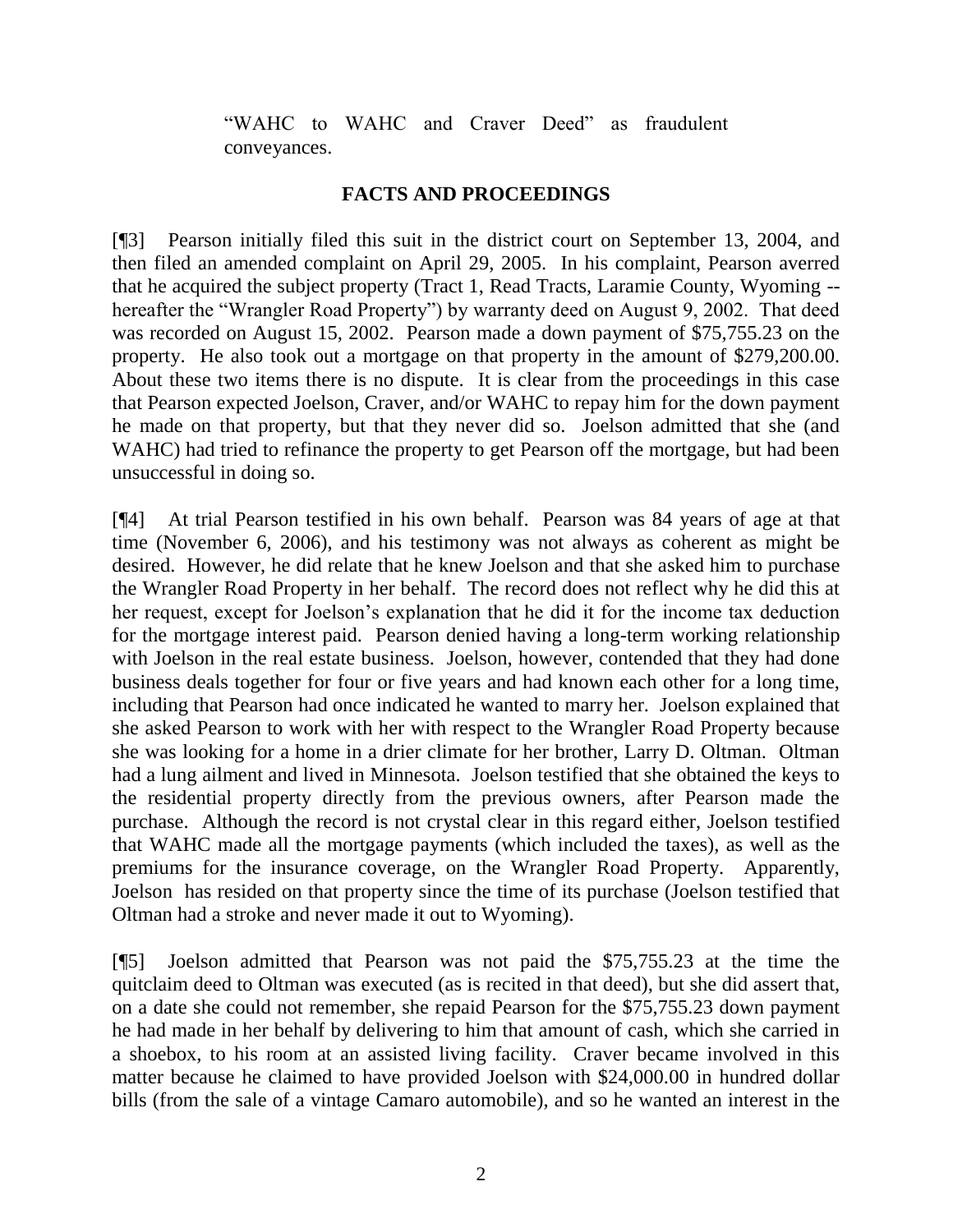"WAHC to WAHC and Craver Deed" as fraudulent conveyances.

# **FACTS AND PROCEEDINGS**

[¶3] Pearson initially filed this suit in the district court on September 13, 2004, and then filed an amended complaint on April 29, 2005. In his complaint, Pearson averred that he acquired the subject property (Tract 1, Read Tracts, Laramie County, Wyoming - hereafter the "Wrangler Road Property") by warranty deed on August 9, 2002. That deed was recorded on August 15, 2002. Pearson made a down payment of \$75,755.23 on the property. He also took out a mortgage on that property in the amount of \$279,200.00. About these two items there is no dispute. It is clear from the proceedings in this case that Pearson expected Joelson, Craver, and/or WAHC to repay him for the down payment he made on that property, but that they never did so. Joelson admitted that she (and WAHC) had tried to refinance the property to get Pearson off the mortgage, but had been unsuccessful in doing so.

[¶4] At trial Pearson testified in his own behalf. Pearson was 84 years of age at that time (November 6, 2006), and his testimony was not always as coherent as might be desired. However, he did relate that he knew Joelson and that she asked him to purchase the Wrangler Road Property in her behalf. The record does not reflect why he did this at her request, except for Joelson's explanation that he did it for the income tax deduction for the mortgage interest paid. Pearson denied having a long-term working relationship with Joelson in the real estate business. Joelson, however, contended that they had done business deals together for four or five years and had known each other for a long time, including that Pearson had once indicated he wanted to marry her. Joelson explained that she asked Pearson to work with her with respect to the Wrangler Road Property because she was looking for a home in a drier climate for her brother, Larry D. Oltman. Oltman had a lung ailment and lived in Minnesota. Joelson testified that she obtained the keys to the residential property directly from the previous owners, after Pearson made the purchase. Although the record is not crystal clear in this regard either, Joelson testified that WAHC made all the mortgage payments (which included the taxes), as well as the premiums for the insurance coverage, on the Wrangler Road Property. Apparently, Joelson has resided on that property since the time of its purchase (Joelson testified that Oltman had a stroke and never made it out to Wyoming).

[¶5] Joelson admitted that Pearson was not paid the \$75,755.23 at the time the quitclaim deed to Oltman was executed (as is recited in that deed), but she did assert that, on a date she could not remember, she repaid Pearson for the \$75,755.23 down payment he had made in her behalf by delivering to him that amount of cash, which she carried in a shoebox, to his room at an assisted living facility. Craver became involved in this matter because he claimed to have provided Joelson with \$24,000.00 in hundred dollar bills (from the sale of a vintage Camaro automobile), and so he wanted an interest in the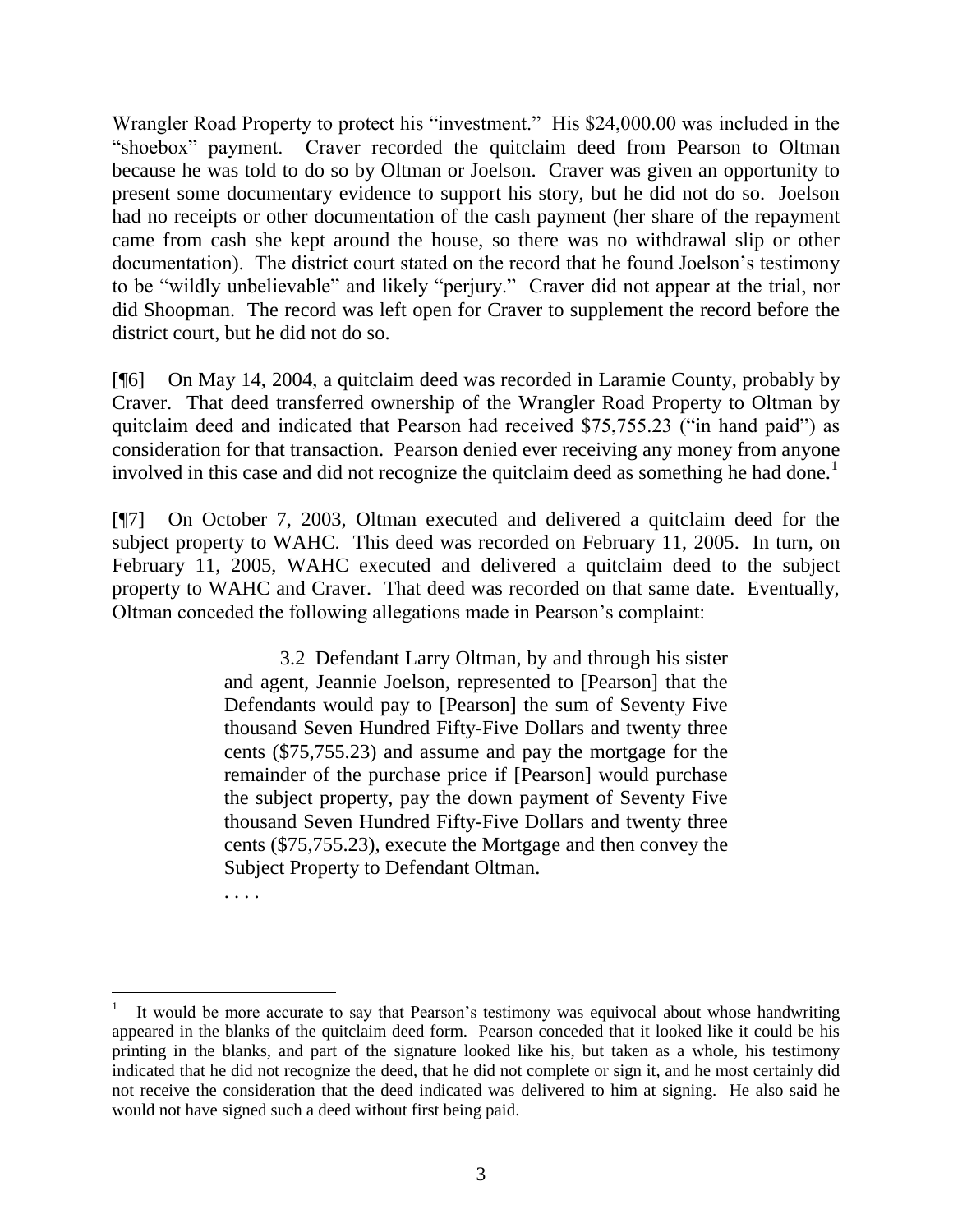Wrangler Road Property to protect his "investment." His \$24,000.00 was included in the "shoebox" payment. Craver recorded the quitclaim deed from Pearson to Oltman because he was told to do so by Oltman or Joelson. Craver was given an opportunity to present some documentary evidence to support his story, but he did not do so. Joelson had no receipts or other documentation of the cash payment (her share of the repayment came from cash she kept around the house, so there was no withdrawal slip or other documentation). The district court stated on the record that he found Joelson's testimony to be "wildly unbelievable" and likely "perjury." Craver did not appear at the trial, nor did Shoopman. The record was left open for Craver to supplement the record before the district court, but he did not do so.

[¶6] On May 14, 2004, a quitclaim deed was recorded in Laramie County, probably by Craver. That deed transferred ownership of the Wrangler Road Property to Oltman by quitclaim deed and indicated that Pearson had received \$75,755.23 ("in hand paid") as consideration for that transaction. Pearson denied ever receiving any money from anyone involved in this case and did not recognize the quitclaim deed as something he had done.<sup>1</sup>

[¶7] On October 7, 2003, Oltman executed and delivered a quitclaim deed for the subject property to WAHC. This deed was recorded on February 11, 2005. In turn, on February 11, 2005, WAHC executed and delivered a quitclaim deed to the subject property to WAHC and Craver. That deed was recorded on that same date. Eventually, Oltman conceded the following allegations made in Pearson's complaint:

> 3.2 Defendant Larry Oltman, by and through his sister and agent, Jeannie Joelson, represented to [Pearson] that the Defendants would pay to [Pearson] the sum of Seventy Five thousand Seven Hundred Fifty-Five Dollars and twenty three cents (\$75,755.23) and assume and pay the mortgage for the remainder of the purchase price if [Pearson] would purchase the subject property, pay the down payment of Seventy Five thousand Seven Hundred Fifty-Five Dollars and twenty three cents (\$75,755.23), execute the Mortgage and then convey the Subject Property to Defendant Oltman.

. . . .

 $\overline{a}$ 1 It would be more accurate to say that Pearson's testimony was equivocal about whose handwriting appeared in the blanks of the quitclaim deed form. Pearson conceded that it looked like it could be his printing in the blanks, and part of the signature looked like his, but taken as a whole, his testimony indicated that he did not recognize the deed, that he did not complete or sign it, and he most certainly did not receive the consideration that the deed indicated was delivered to him at signing. He also said he would not have signed such a deed without first being paid.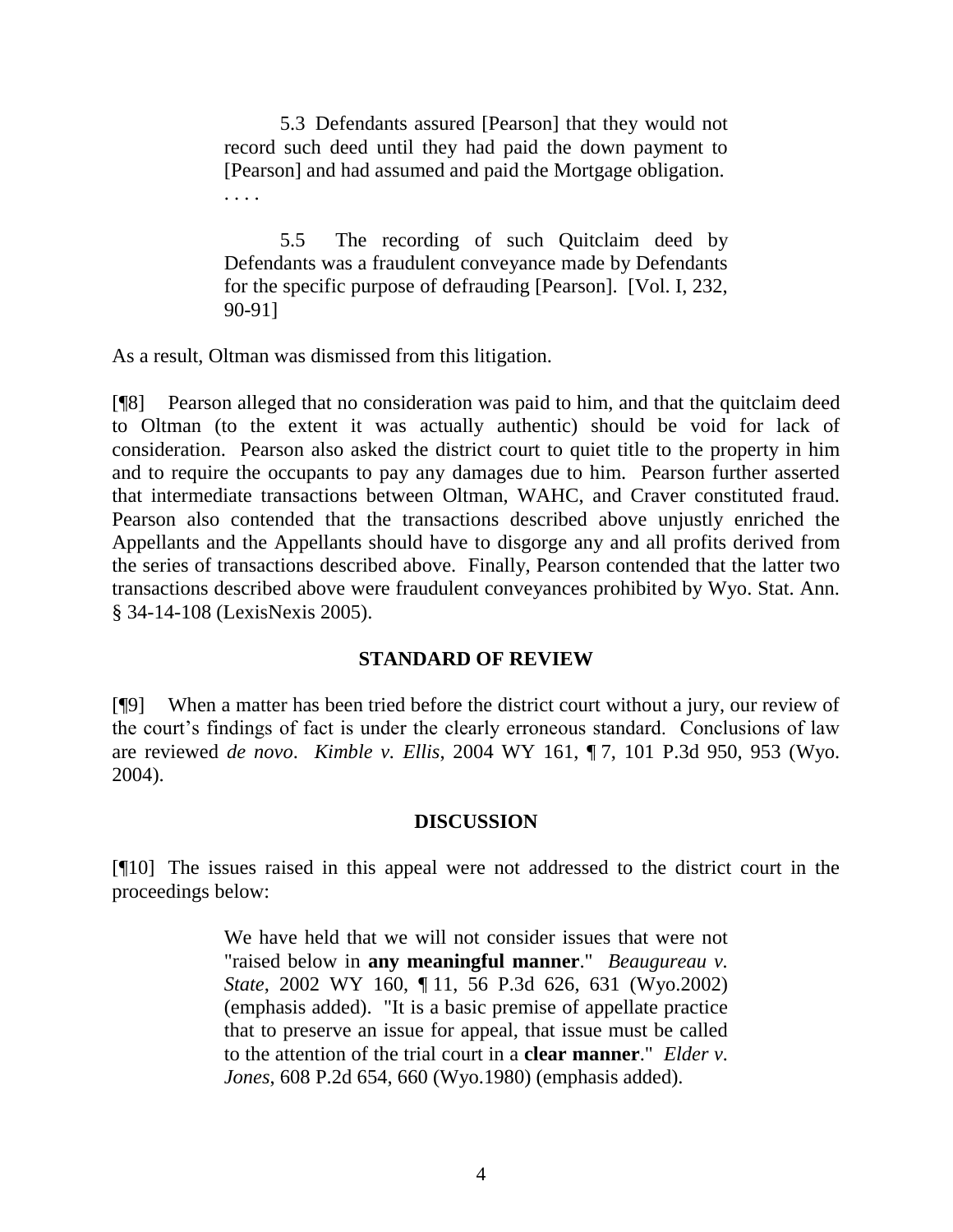5.3 Defendants assured [Pearson] that they would not record such deed until they had paid the down payment to [Pearson] and had assumed and paid the Mortgage obligation. . . . .

5.5 The recording of such Quitclaim deed by Defendants was a fraudulent conveyance made by Defendants for the specific purpose of defrauding [Pearson]. [Vol. I, 232, 90-91]

As a result, Oltman was dismissed from this litigation.

[¶8] Pearson alleged that no consideration was paid to him, and that the quitclaim deed to Oltman (to the extent it was actually authentic) should be void for lack of consideration. Pearson also asked the district court to quiet title to the property in him and to require the occupants to pay any damages due to him. Pearson further asserted that intermediate transactions between Oltman, WAHC, and Craver constituted fraud. Pearson also contended that the transactions described above unjustly enriched the Appellants and the Appellants should have to disgorge any and all profits derived from the series of transactions described above. Finally, Pearson contended that the latter two transactions described above were fraudulent conveyances prohibited by Wyo. Stat. Ann. § 34-14-108 (LexisNexis 2005).

## **STANDARD OF REVIEW**

[¶9] When a matter has been tried before the district court without a jury, our review of the court's findings of fact is under the clearly erroneous standard. Conclusions of law are reviewed *de novo*. *Kimble v. Ellis*, 2004 WY 161, ¶ 7, 101 P.3d 950, 953 (Wyo. 2004).

## **DISCUSSION**

[¶10] The issues raised in this appeal were not addressed to the district court in the proceedings below:

> We have held that we will not consider issues that were not "raised below in **any meaningful manner**." *Beaugureau v. State*, 2002 WY 160, ¶ 11, 56 P.3d 626, 631 (Wyo.2002) (emphasis added). "It is a basic premise of appellate practice that to preserve an issue for appeal, that issue must be called to the attention of the trial court in a **clear manner**." *Elder v. Jones*, 608 P.2d 654, 660 (Wyo.1980) (emphasis added).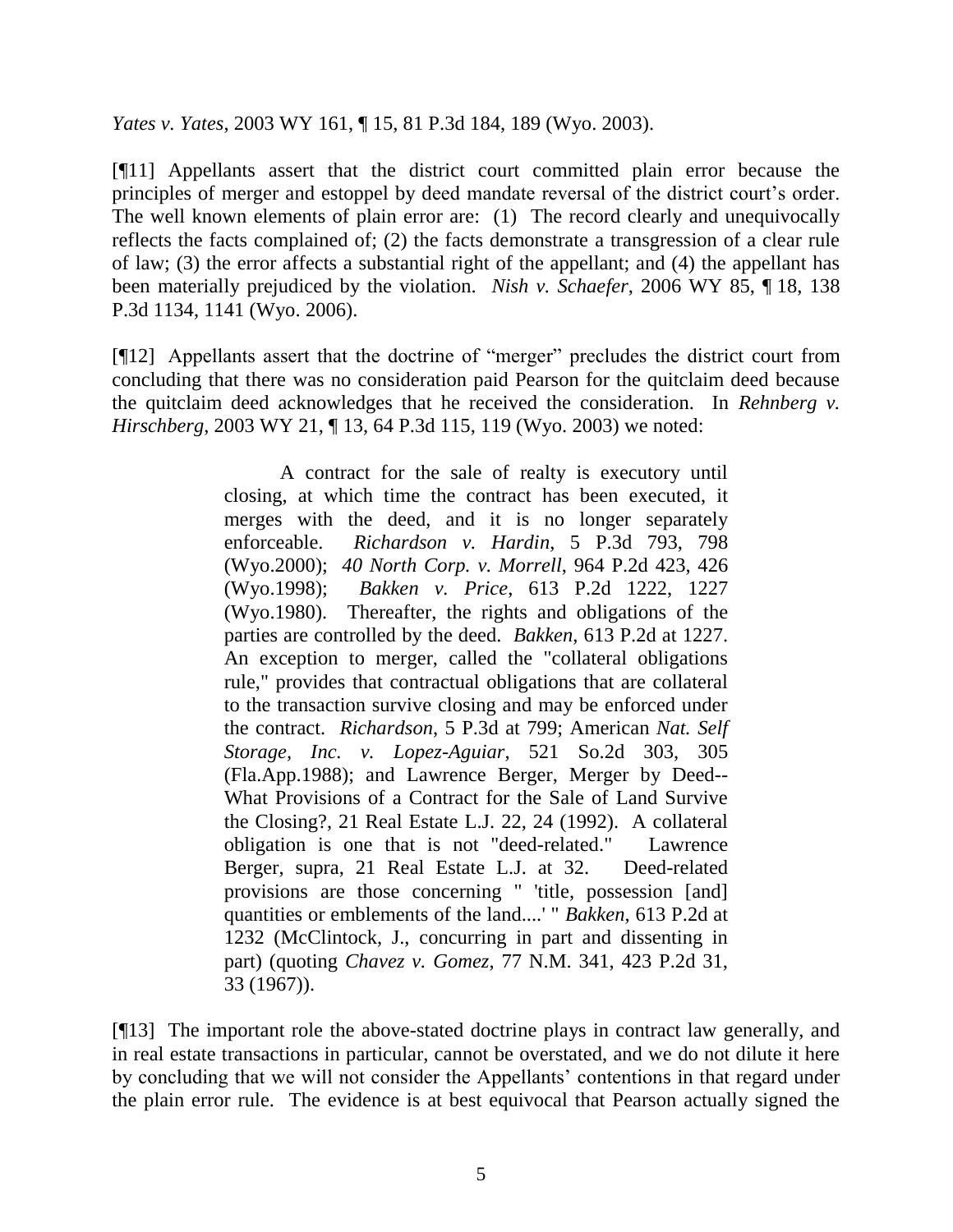*Yates v. Yates*, 2003 WY 161, ¶ 15, 81 P.3d 184, 189 (Wyo. 2003).

[¶11] Appellants assert that the district court committed plain error because the principles of merger and estoppel by deed mandate reversal of the district court's order. The well known elements of plain error are: (1) The record clearly and unequivocally reflects the facts complained of; (2) the facts demonstrate a transgression of a clear rule of law; (3) the error affects a substantial right of the appellant; and (4) the appellant has been materially prejudiced by the violation. *Nish v. Schaefer*, 2006 WY 85, ¶ 18, 138 P.3d 1134, 1141 (Wyo. 2006).

[¶12] Appellants assert that the doctrine of "merger" precludes the district court from concluding that there was no consideration paid Pearson for the quitclaim deed because the quitclaim deed acknowledges that he received the consideration. In *Rehnberg v. Hirschberg*, 2003 WY 21, ¶ 13, 64 P.3d 115, 119 (Wyo. 2003) we noted:

> A contract for the sale of realty is executory until closing, at which time the contract has been executed, it merges with the deed, and it is no longer separately enforceable. *Richardson v. Hardin*, 5 P.3d 793, 798 (Wyo.2000); *40 North Corp. v. Morrell*, 964 P.2d 423, 426 (Wyo.1998); *Bakken v. Price*, 613 P.2d 1222, 1227 (Wyo.1980). Thereafter, the rights and obligations of the parties are controlled by the deed. *Bakken*, 613 P.2d at 1227. An exception to merger, called the "collateral obligations rule," provides that contractual obligations that are collateral to the transaction survive closing and may be enforced under the contract. *Richardson*, 5 P.3d at 799; American *Nat. Self Storage, Inc. v. Lopez-Aguiar*, 521 So.2d 303, 305 (Fla.App.1988); and Lawrence Berger, Merger by Deed-- What Provisions of a Contract for the Sale of Land Survive the Closing?, 21 Real Estate L.J. 22, 24 (1992). A collateral obligation is one that is not "deed-related." Lawrence Berger, supra, 21 Real Estate L.J. at 32. Deed-related provisions are those concerning " 'title, possession [and] quantities or emblements of the land....' " *Bakken*, 613 P.2d at 1232 (McClintock, J., concurring in part and dissenting in part) (quoting *Chavez v. Gomez*, 77 N.M. 341, 423 P.2d 31, 33 (1967)).

[¶13] The important role the above-stated doctrine plays in contract law generally, and in real estate transactions in particular, cannot be overstated, and we do not dilute it here by concluding that we will not consider the Appellants' contentions in that regard under the plain error rule. The evidence is at best equivocal that Pearson actually signed the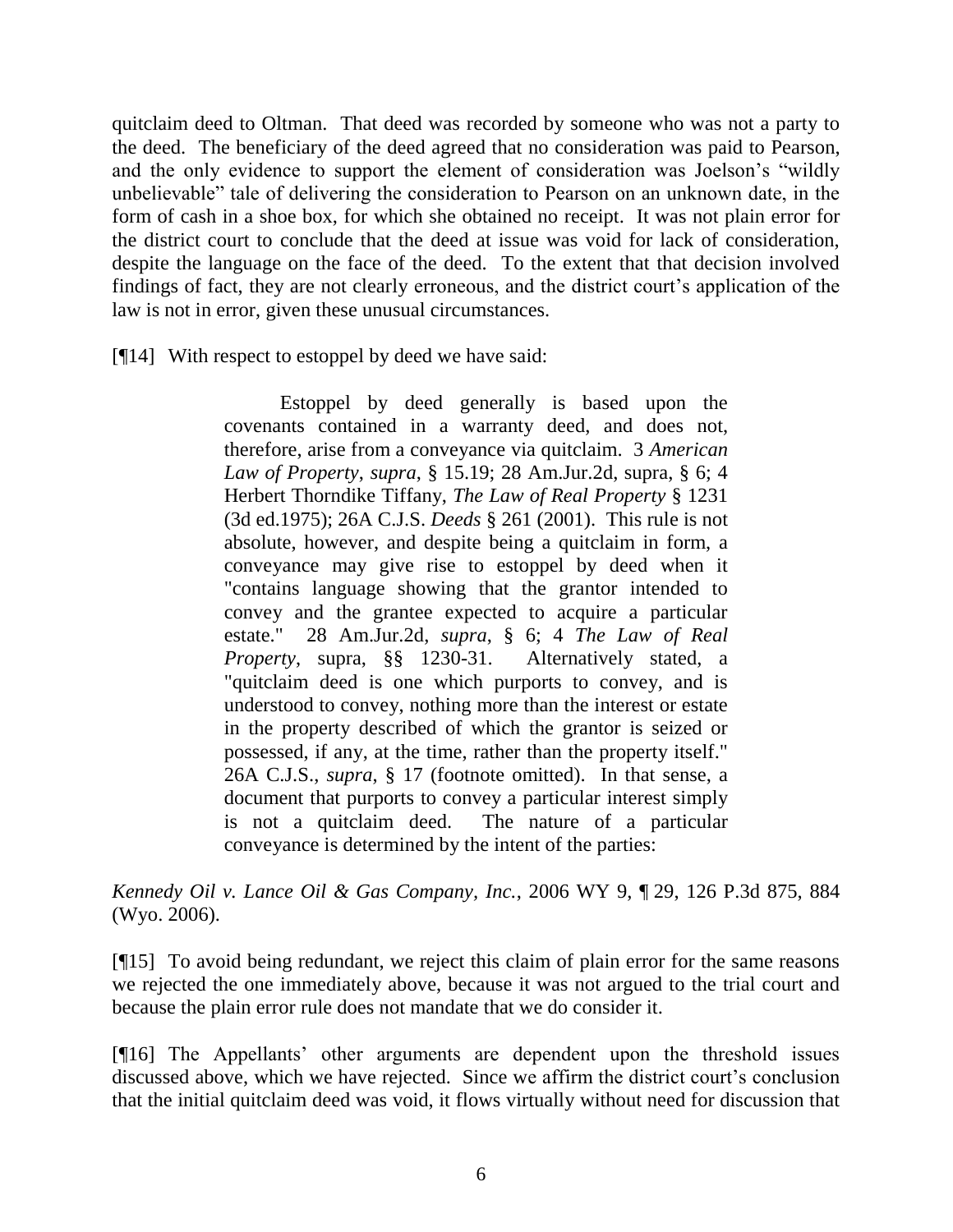quitclaim deed to Oltman. That deed was recorded by someone who was not a party to the deed. The beneficiary of the deed agreed that no consideration was paid to Pearson, and the only evidence to support the element of consideration was Joelson's "wildly unbelievable" tale of delivering the consideration to Pearson on an unknown date, in the form of cash in a shoe box, for which she obtained no receipt. It was not plain error for the district court to conclude that the deed at issue was void for lack of consideration, despite the language on the face of the deed. To the extent that that decision involved findings of fact, they are not clearly erroneous, and the district court's application of the law is not in error, given these unusual circumstances.

[¶14] With respect to estoppel by deed we have said:

Estoppel by deed generally is based upon the covenants contained in a warranty deed, and does not, therefore, arise from a conveyance via quitclaim. 3 *American Law of Property*, *supra*, § 15.19; 28 Am.Jur.2d, supra, § 6; 4 Herbert Thorndike Tiffany, *The Law of Real Property* § 1231 (3d ed.1975); 26A C.J.S. *Deeds* § 261 (2001). This rule is not absolute, however, and despite being a quitclaim in form, a conveyance may give rise to estoppel by deed when it "contains language showing that the grantor intended to convey and the grantee expected to acquire a particular estate." 28 Am.Jur.2d, *supra*, § 6; 4 *The Law of Real Property*, supra, §§ 1230-31. Alternatively stated, a "quitclaim deed is one which purports to convey, and is understood to convey, nothing more than the interest or estate in the property described of which the grantor is seized or possessed, if any, at the time, rather than the property itself." 26A C.J.S., *supra*, § 17 (footnote omitted). In that sense, a document that purports to convey a particular interest simply is not a quitclaim deed. The nature of a particular conveyance is determined by the intent of the parties:

*Kennedy Oil v. Lance Oil & Gas Company, Inc.*, 2006 WY 9, ¶ 29, 126 P.3d 875, 884 (Wyo. 2006).

[¶15] To avoid being redundant, we reject this claim of plain error for the same reasons we rejected the one immediately above, because it was not argued to the trial court and because the plain error rule does not mandate that we do consider it.

[¶16] The Appellants' other arguments are dependent upon the threshold issues discussed above, which we have rejected. Since we affirm the district court's conclusion that the initial quitclaim deed was void, it flows virtually without need for discussion that